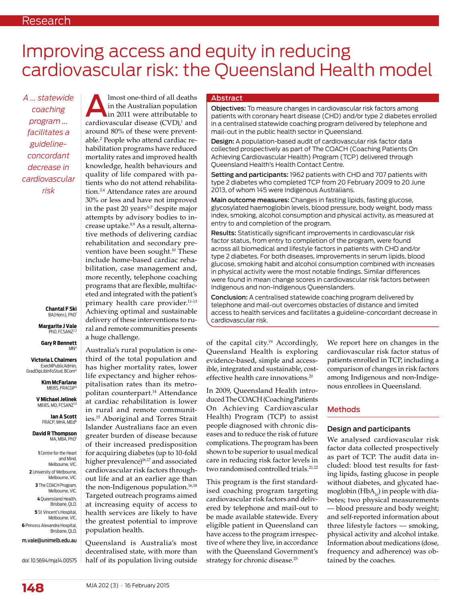# Improving access and equity in reducing cardiovascular risk: the Queensland Health model

*A ... statewide coaching program ... facilitates a guidelineconcordant decrease in cardiovascular risk*

> **Chantal F Ski** BA(Hons), PhD

**Margarite J Vale** PhD, FCSANZ<sup>2,3</sup>

**Gary R Bennett** M<sub>N</sub>

**Victoria L Chalmers** ExecMPublicAdmin, GradDinLibInfoStud, BCom<sup>4</sup>

> **Kim McFarlane** MBBS, FRACGP

**V Michael Jelinek** MB BS, MD, FCSANZ<sup>1,5</sup>

> **Ian A Scott** FRACP, MHA, MEd<sup>6</sup>

**David R Thompson** MA, MBA, PhD

**1** Centre for the Heart and Mind, Melbourne, VIC. **2** University of Melbourne, Melbourne, VIC. **3** The COACH Program, Melbourne, VIC. **4** Queensland Health, Brisbane, QLD. **5** St Vincent's Hospital, Melbourne, VIC. **6** Princess Alexandra Hospital, Brisbane, QLD. m.vale@unimelb.edu.au

doi: 10.5694/mja14.00575

**Almost one-third of all deaths**<br>in the Australian population<br>in 2011 were attributable to<br>cardiovascular disease (CVD),<sup>1</sup> and in the Australian population in 2011 were attributable to around 80% of these were preventable.2 People who attend cardiac rehabilitation programs have reduced mortality rates and improved health knowledge, health behaviours and quality of life compared with patients who do not attend rehabilitation.3,4 Attendance rates are around 30% or less and have not improved in the past  $20$  years<sup>5-7</sup> despite major attempts by advisory bodies to increase uptake.8,9 As a result, alternative methods of delivering cardiac rehabilitation and secondary prevention have been sought.<sup>10</sup> These include home-based cardiac rehabilitation, case management and, more recently, telephone coaching programs that are flexible, multifaceted and integrated with the patient's primary health care provider.11-13 Achieving optimal and sustainable delivery of these interventions to rural and remote communities presents a huge challenge.

Australia's rural population is onethird of the total population and has higher mortality rates, lower life expectancy and higher rehospitalisation rates than its metropolitan counterpart.14 Attendance at cardiac rehabilitation is lower in rural and remote communities.15 Aboriginal and Torres Strait Islander Australians face an even greater burden of disease because of their increased predisposition for acquiring diabetes (up to 10-fold higher prevalence)<sup>16,17</sup> and associated cardiovascular risk factors throughout life and at an earlier age than the non-Indigenous population.<sup>16,18</sup> Targeted outreach programs aimed at increasing equity of access to health services are likely to have the greatest potential to improve population health.

Queensland is Australia's most decentralised state, with more than half of its population living outside

#### Abstract

Objectives: To measure changes in cardiovascular risk factors among patients with coronary heart disease (CHD) and/or type 2 diabetes enrolled in a centralised statewide coaching program delivered by telephone and mail-out in the public health sector in Queensland.

Design: A population-based audit of cardiovascular risk factor data collected prospectively as part of The COACH (Coaching Patients On Achieving Cardiovascular Health) Program (TCP) delivered through Queensland Health's Health Contact Centre.

Setting and participants: 1962 patients with CHD and 707 patients with type 2 diabetes who completed TCP from 20 February 2009 to 20 June 2013, of whom 145 were Indigenous Australians.

Main outcome measures: Changes in fasting lipids, fasting glucose, glycosylated haemoglobin levels, blood pressure, body weight, body mass index, smoking, alcohol consumption and physical activity, as measured at entry to and completion of the program.

Results: Statistically significant improvements in cardiovascular risk factor status, from entry to completion of the program, were found across all biomedical and lifestyle factors in patients with CHD and/or type 2 diabetes. For both diseases, improvements in serum lipids, blood glucose, smoking habit and alcohol consumption combined with increases in physical activity were the most notable findings. Similar differences were found in mean change scores in cardiovascular risk factors between Indigenous and non-Indigenous Queenslanders.

Conclusion: A centralised statewide coaching program delivered by telephone and mail-out overcomes obstacles of distance and limited access to health services and facilitates a guideline-concordant decrease in cardiovascular risk.

of the capital city.<sup>19</sup> Accordingly, Queensland Health is exploring evidence-based, simple and accessible, integrated and sustainable, costeffective health care innovations.<sup>20</sup>

In 2009, Queensland Health introduced The COACH (Coaching Patients On Achieving Cardiovascular Health) Program (TCP) to assist people diagnosed with chronic diseases and to reduce the risk of future complications. The program has been shown to be superior to usual medical care in reducing risk factor levels in two randomised controlled trials.<sup>21,22</sup>

This program is the first standardised coaching program targeting cardiovascular risk factors and delivered by telephone and mail-out to be made available statewide. Every eligible patient in Queensland can have access to the program irrespective of where they live, in accordance with the Queensland Government's strategy for chronic disease.<sup>23</sup>

We report here on changes in the cardiovascular risk factor status of patients enrolled in TCP, including a comparison of changes in risk factors among Indigenous and non-Indigenous enrollees in Queensland.

# Methods

#### Design and participants

We analysed cardiovascular risk factor data collected prospectively as part of TCP. The audit data included: blood test results for fasting lipids, fasting glucose in people without diabetes, and glycated haemoglobin (HbA<sub>1c</sub>) in people with diabetes; two physical measurements — blood pressure and body weight; and self-reported information about three lifestyle factors — smoking, physical activity and alcohol intake. Information about medications (dose, frequency and adherence) was obtained by the coaches.

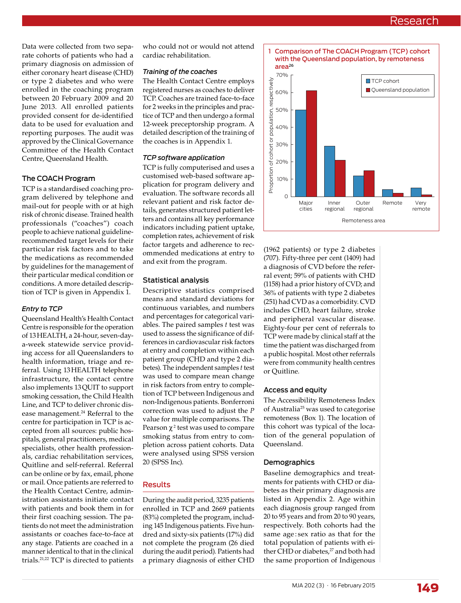# Research

Data were collected from two separate cohorts of patients who had a primary diagnosis on admission of either coronary heart disease (CHD) or type 2 diabetes and who were enrolled in the coaching program between 20 February 2009 and 20 June 2013. All enrolled patients provided consent for de-identified data to be used for evaluation and reporting purposes. The audit was approved by the Clinical Governance Committee of the Health Contact Centre, Queensland Health.

#### The COACH Program

TCP is a standardised coaching program delivered by telephone and mail-out for people with or at high risk of chronic disease. Trained health professionals ("coaches") coach people to achieve national guidelinerecommended target levels for their particular risk factors and to take the medications as recommended by guidelines for the management of their particular medical condition or conditions. A more detailed description of TCP is given in Appendix 1.

#### *Entry to TCP*

Queensland Health's Health Contact Centre is responsible for the operation of 13 HEALTH, a 24-hour, seven-daya-week statewide service providing access for all Queenslanders to health information, triage and referral. Using 13 HEALTH telephone infrastructure, the contact centre also implements 13 QUIT to support smoking cessation, the Child Health Line, and TCP to deliver chronic disease management.<sup>24</sup> Referral to the centre for participation in TCP is accepted from all sources: public hospitals, general practitioners, medical specialists, other health professionals, cardiac rehabilitation services, Quitline and self-referral. Referral can be online or by fax, email, phone or mail. Once patients are referred to the Health Contact Centre, administration assistants initiate contact with patients and book them in for their first coaching session. The patients do not meet the administration assistants or coaches face-to-face at any stage. Patients are coached in a manner identical to that in the clinical trials.21,22 TCP is directed to patients

who could not or would not attend cardiac rehabilitation.

#### *Training of the coaches*

The Health Contact Centre employs registered nurses as coaches to deliver TCP. Coaches are trained face-to-face for 2 weeks in the principles and practice of TCP and then undergo a formal 12-week preceptorship program. A detailed description of the training of the coaches is in Appendix 1.

#### *TCP software application*

TCP is fully computerised and uses a customised web-based software application for program delivery and evaluation. The software records all relevant patient and risk factor details, generates structured patient letters and contains all key performance indicators including patient uptake, completion rates, achievement of risk factor targets and adherence to recommended medications at entry to and exit from the program.

#### Statistical analysis

Descriptive statistics comprised means and standard deviations for continuous variables, and numbers and percentages for categorical variables. The paired samples *t* test was used to assess the significance of differences in cardiovascular risk factors at entry and completion within each patient group (CHD and type 2 diabetes). The independent samples *t* test was used to compare mean change in risk factors from entry to completion of TCP between Indigenous and non-Indigenous patients. Bonferroni correction was used to adjust the *P*  value for multiple comparisons. The Pearson  $\chi^2$  test was used to compare smoking status from entry to completion across patient cohorts. Data were analysed using SPSS version 20 (SPSS Inc).

# Results

During the audit period, 3235 patients enrolled in TCP and 2669 patients (83%) completed the program, including 145 Indigenous patients. Five hundred and sixty-six patients (17%) did not complete the program (26 died during the audit period). Patients had a primary diagnosis of either CHD



(1962 patients) or type 2 diabetes (707). Fifty-three per cent (1409) had a diagnosis of CVD before the referral event; 59% of patients with CHD (1158) had a prior history of CVD; and 36% of patients with type 2 diabetes (251) had CVD as a comorbidity. CVD includes CHD, heart failure, stroke and peripheral vascular disease. Eighty-four per cent of referrals to TCP were made by clinical staff at the time the patient was discharged from a public hospital. Most other referrals were from community health centres or Quitline.

#### Access and equity

The Accessibility Remoteness Index of Australia<sup>25</sup> was used to categorise remoteness (Box 1). The location of this cohort was typical of the location of the general population of Queensland.

#### Demographics

Baseline demographics and treatments for patients with CHD or diabetes as their primary diagnosis are listed in Appendix 2. Age within each diagnosis group ranged from 20 to 95 years and from 20 to 90 years, respectively. Both cohorts had the same age: sex ratio as that for the total population of patients with either CHD or diabetes,<sup>27</sup> and both had the same proportion of Indigenous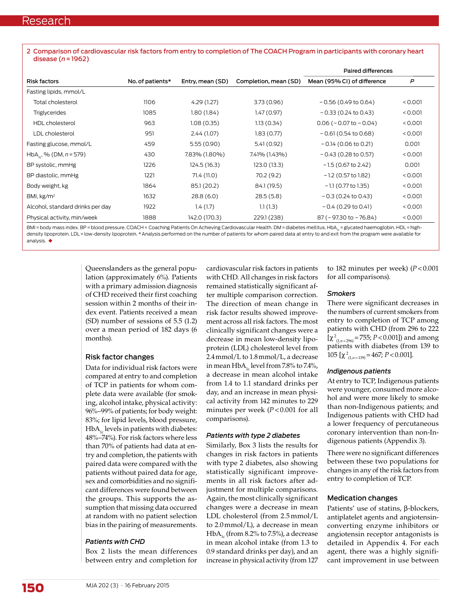2 Comparison of cardiovascular risk factors from entry to completion of The COACH Program in participants with coronary heart disease (*n* = 1962)

| <b>Risk factors</b>                    | No. of patients* | Entry, mean (SD) | Completion, mean (SD) | <b>Paired differences</b>     |         |
|----------------------------------------|------------------|------------------|-----------------------|-------------------------------|---------|
|                                        |                  |                  |                       | Mean (95% CI) of difference   | P       |
| Fasting lipids, mmol/L                 |                  |                  |                       |                               |         |
| Total cholesterol                      | 1106             | 4.29 (1.27)      | 3.73 (0.96)           | $-0.56$ (0.49 to 0.64)        | < 0.001 |
| <b>Triglycerides</b>                   | 1085             | 1.80(1.84)       | 1.47(0.97)            | $-0.33$ (0.24 to 0.43)        | < 0.001 |
| HDL cholesterol                        | 963              | 1.08(0.35)       | 1.13(0.34)            | $0.06$ ( $-0.07$ to $-0.04$ ) | < 0.001 |
| LDL cholesterol                        | 951              | 2.44 (1.07)      | 1.83(0.77)            | $-0.61(0.54 to 0.68)$         | < 0.001 |
| Fasting glucose, mmol/L                | 459              | 5.55(0.90)       | 5.41 (0.92)           | $-0.14$ (0.06 to 0.21)        | 0.001   |
| HbA <sub>1c</sub> , % (DM, $n = 579$ ) | 430              | 7.83% (1.80%)    | 7.41% (1.43%)         | $-0.43$ (0.28 to 0.57)        | < 0.001 |
| BP systolic, mmHg                      | 1226             | 124.5 (16.3)     | 123.0 (13.3)          | $-1.5$ (0.67 to 2.42)         | 0.001   |
| BP diastolic, mmHg                     | 1221             | 71.4 (11.0)      | 70.2 (9.2)            | $-1.2$ (0.57 to 1.82)         | < 0.001 |
| Body weight, kg                        | 1864             | 85.1 (20.2)      | 84.1 (19.5)           | $-1.1$ (0.77 to 1.35)         | < 0.001 |
| BMI, $kg/m2$                           | 1632             | 28.8(6.0)        | 28.5 (5.8)            | $-0.3$ (0.24 to 0.43)         | < 0.001 |
| Alcohol, standard drinks per day       | 1922             | 1.4(1.7)         | 1.1(1.3)              | $-0.4$ (0.29 to 0.41)         | < 0.001 |
| Physical activity, min/week            | 1888             | 142.0 (170.3)    | 229.1 (238)           | 87 (-97.30 to -76.84)         | < 0.001 |

BMI = body mass index. BP = blood pressure. COACH = Coaching Patients On Achieving Cardiovascular Health. DM = diabetes mellitus. HbA<sub>1c</sub> = glycated haemoglobin. HDL = highdensity lipoprotein. LDL = low-density lipoprotein. \* Analysis performed on the number of patients for whom paired data at entry to and exit from the program were available for analysis.  $\blacklozenge$ 

> Queenslanders as the general population (approximately 6%). Patients with a primary admission diagnosis of CHD received their first coaching session within 2 months of their index event. Patients received a mean (SD) number of sessions of 5.5 (1.2) over a mean period of 182 days (6 months).

#### Risk factor changes

Data for individual risk factors were compared at entry to and completion of TCP in patients for whom complete data were available (for smoking, alcohol intake, physical activity: 96%–99% of patients; for body weight: 83%; for lipid levels, blood pressure,  $HbA<sub>1c</sub>$  levels in patients with diabetes: 48%–74%). For risk factors where less than 70% of patients had data at entry and completion, the patients with paired data were compared with the patients without paired data for age, sex and comorbidities and no significant differences were found between the groups. This supports the assumption that missing data occurred at random with no patient selection bias in the pairing of measurements.

#### *Patients with CHD*

Box 2 lists the mean differences between entry and completion for

cardiovascular risk factors in patients with CHD. All changes in risk factors remained statistically significant after multiple comparison correction. The direction of mean change in risk factor results showed improvement across all risk factors. The most clinically significant changes were a decrease in mean low-density lipoprotein (LDL) cholesterol level from 2.4 mmol/L to 1.8 mmol/L, a decrease in mean  $HbA_{1c}$  level from 7.8% to 7.4%, a decrease in mean alcohol intake from 1.4 to 1.1 standard drinks per day, and an increase in mean physical activity from 142 minutes to 229 minutes per week (*P* < 0.001 for all comparisons).

#### *Patients with type 2 diabetes*

Similarly, Box 3 lists the results for changes in risk factors in patients with type 2 diabetes, also showing statistically significant improvements in all risk factors after adjustment for multiple comparisons. Again, the most clinically significant changes were a decrease in mean LDL cholesterol (from 2.5 mmol/L to 2.0 mmol/L), a decrease in mean HbA<sub>1c</sub> (from 8.2% to 7.5%), a decrease in mean alcohol intake (from 1.3 to 0.9 standard drinks per day), and an increase in physical activity (from 127

to 182 minutes per week) (*P* < 0.001 for all comparisons).

#### *Smokers*

There were significant decreases in the numbers of current smokers from entry to completion of TCP among patients with CHD (from 296 to 222  $[\chi^2_{(1,n=296)} = 755; P < 0.001]$ ) and among patients with diabetes (from 139 to 105  $[\chi^2_{(1,n=139)} = 467; P < 0.001]$ .

#### *Indigenous patients*

At entry to TCP, Indigenous patients were younger, consumed more alcohol and were more likely to smoke than non-Indigenous patients; and Indigenous patients with CHD had a lower frequency of percutaneous coronary intervention than non-Indigenous patients (Appendix 3).

There were no significant differences between these two populations for changes in any of the risk factors from entry to completion of TCP.

#### Medication changes

Patients' use of statins, β-blockers, antiplatelet agents and angiotensinconverting enzyme inhibitors or angiotensin receptor antagonists is detailed in Appendix 4. For each agent, there was a highly significant improvement in use between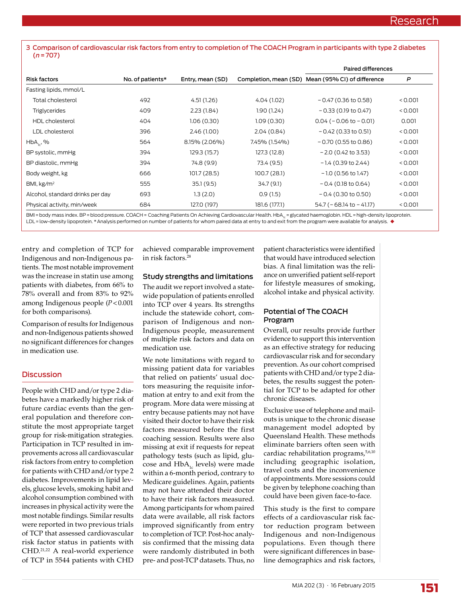3 Comparison of cardiovascular risk factors from entry to completion of The COACH Program in participants with type 2 diabetes (*n* = 707)

| <b>Risk factors</b>              | No. of patients* | Entry, mean (SD) |               | <b>Paired differences</b>                         |         |
|----------------------------------|------------------|------------------|---------------|---------------------------------------------------|---------|
|                                  |                  |                  |               | Completion, mean (SD) Mean (95% CI) of difference | P       |
| Fasting lipids, mmol/L           |                  |                  |               |                                                   |         |
| Total cholesterol                | 492              | 4.51(1.26)       | 4.04 (1.02)   | $-0.47$ (0.36 to 0.58)                            | < 0.001 |
| <b>Triglycerides</b>             | 409              | 2.23(1.84)       | 1.90 (1.24)   | $-0.33$ (0.19 to 0.47)                            | < 0.001 |
| <b>HDL</b> cholesterol           | 404              | 1.06(0.30)       | 1.09(0.30)    | $0.04 (-0.06 to -0.01)$                           | 0.001   |
| LDL cholesterol                  | 396              | 2.46(1.00)       | 2.04(0.84)    | $-0.42$ (0.33 to 0.51)                            | < 0.001 |
| $HbA_{1c}$ , %                   | 564              | 8.15% (2.06%)    | 7.45% (1.54%) | $-0.70$ (0.55 to 0.86)                            | < 0.001 |
| BP systolic, mmHg                | 394              | 129.3 (15.7)     | 127.3 (12.8)  | $-2.0$ (0.42 to 3.53)                             | < 0.001 |
| BP diastolic, mmHg               | 394              | 74.8 (9.9)       | 73.4 (9.5)    | $-1.4$ (0.39 to 2.44)                             | < 0.001 |
| Body weight, kg                  | 666              | 101.7(28.5)      | 100.7 (28.1)  | $-1.0$ (0.56 to 1.47)                             | < 0.001 |
| BMI, $kg/m2$                     | 555              | 35.1(9.5)        | 34.7 (9.1)    | $-0.4$ (0.18 to 0.64)                             | < 0.001 |
| Alcohol, standard drinks per day | 693              | 1.3(2.0)         | 0.9(1.5)      | $-0.4$ (0.30 to 0.50)                             | < 0.001 |
| Physical activity, min/week      | 684              | 127.0 (197)      | 181.6 (177.1) | $54.7$ ( $-68.14$ to $-41.17$ )                   | < 0.001 |

BMI = body mass index. BP = blood pressure. COACH = Coaching Patients On Achieving Cardiovascular Health. HbA<sub>12</sub> = glycated haemoglobin. HDL = high-density lipoprotein. LDL = low-density lipoprotein. \* Analysis performed on number of patients for whom paired data at entry to and exit from the program were available for analysis. ♦

entry and completion of TCP for Indigenous and non-Indigenous patients. The most notable improvement was the increase in statin use among patients with diabetes, from 66% to 78% overall and from 83% to 92% among Indigenous people (*P* < 0.001 for both comparisons).

Comparison of results for Indigenous and non-Indigenous patients showed no significant differences for changes in medication use.

# **Discussion**

People with CHD and/or type 2 diabetes have a markedly higher risk of future cardiac events than the general population and therefore constitute the most appropriate target group for risk-mitigation strategies. Participation in TCP resulted in improvements across all cardiovascular risk factors from entry to completion for patients with CHD and/or type 2 diabetes. Improvements in lipid levels, glucose levels, smoking habit and alcohol consumption combined with increases in physical activity were the most notable findings. Similar results were reported in two previous trials of TCP that assessed cardiovascular risk factor status in patients with CHD.21,22 A real-world experience of TCP in 5544 patients with CHD

achieved comparable improvement in risk factors<sup>28</sup>

# Study strengths and limitations

The audit we report involved a statewide population of patients enrolled into TCP over 4 years. Its strengths include the statewide cohort, comparison of Indigenous and non-Indigenous people, measurement of multiple risk factors and data on medication use.

We note limitations with regard to missing patient data for variables that relied on patients' usual doctors measuring the requisite information at entry to and exit from the program. More data were missing at entry because patients may not have visited their doctor to have their risk factors measured before the first coaching session. Results were also missing at exit if requests for repeat pathology tests (such as lipid, glucose and  $HbA_{1c}$  levels) were made within a 6-month period, contrary to Medicare guidelines. Again, patients may not have attended their doctor to have their risk factors measured. Among participants for whom paired data were available, all risk factors improved significantly from entry to completion of TCP. Post-hoc analysis confirmed that the missing data were randomly distributed in both pre- and post-TCP datasets. Thus, no

patient characteristics were identified that would have introduced selection bias. A final limitation was the reliance on unverified patient self-report for lifestyle measures of smoking, alcohol intake and physical activity.

# Potential of The COACH Program

Overall, our results provide further evidence to support this intervention as an effective strategy for reducing cardiovascular risk and for secondary prevention. As our cohort comprised patients with CHD and/or type 2 diabetes, the results suggest the potential for TCP to be adapted for other chronic diseases.

Exclusive use of telephone and mailouts is unique to the chronic disease management model adopted by Queensland Health. These methods eliminate barriers often seen with cardiac rehabilitation programs,<sup>5,6,10</sup> including geographic isolation, travel costs and the inconvenience of appointments. More sessions could be given by telephone coaching than could have been given face-to-face.

This study is the first to compare effects of a cardiovascular risk factor reduction program between Indigenous and non-Indigenous populations. Even though there were significant differences in baseline demographics and risk factors,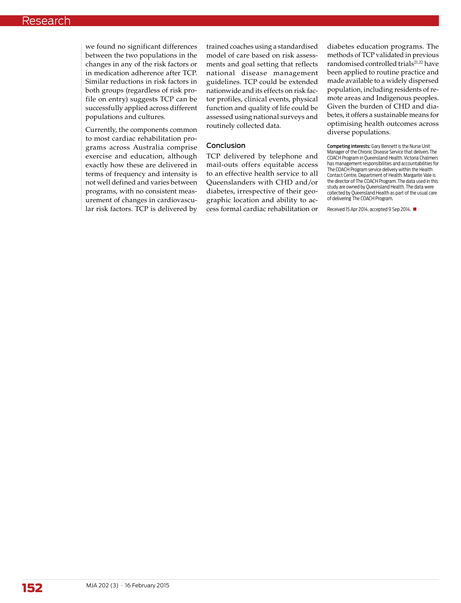we found no significant differences between the two populations in the changes in any of the risk factors or in medication adherence after TCP. Similar reductions in risk factors in both groups (regardless of risk profile on entry) suggests TCP can be successfully applied across different populations and cultures.

Currently, the components common to most cardiac rehabilitation programs across Australia comprise exercise and education, although exactly how these are delivered in terms of frequency and intensity is not well defined and varies between programs, with no consistent measurement of changes in cardiovascular risk factors. TCP is delivered by

trained coaches using a standardised model of care based on risk assessments and goal setting that reflects national disease management guidelines. TCP could be extended nationwide and its effects on risk factor profiles, clinical events, physical function and quality of life could be assessed using national surveys and routinely collected data.

# Conclusion

TCP delivered by telephone and mail-outs offers equitable access to an effective health service to all Queenslanders with CHD and/or diabetes, irrespective of their geographic location and ability to access formal cardiac rehabilitation or

diabetes education programs. The methods of TCP validated in previous randomised controlled trials<sup>21,22</sup> have been applied to routine practice and made available to a widely dispersed population, including residents of remote areas and Indigenous peoples. Given the burden of CHD and diabetes, it offers a sustainable means for optimising health outcomes across diverse populations.

Competing interests: Gary Bennett is the Nurse Unit Manager of the Chronic Disease Service that delivers The COACH Program in Queensland Health. Victoria Chalmers has management responsibilities and accountabilities for The COACH Program service delivery within the Health Contact Centre, Department of Health. Margarite Vale is the director of The COACH Program. The data used in this study are owned by Queensland Health. The data were collected by Queensland Health as part of the usual care of delivering The COACH Program.

Received 15 Apr 2014, accepted 9 Sep 2014.